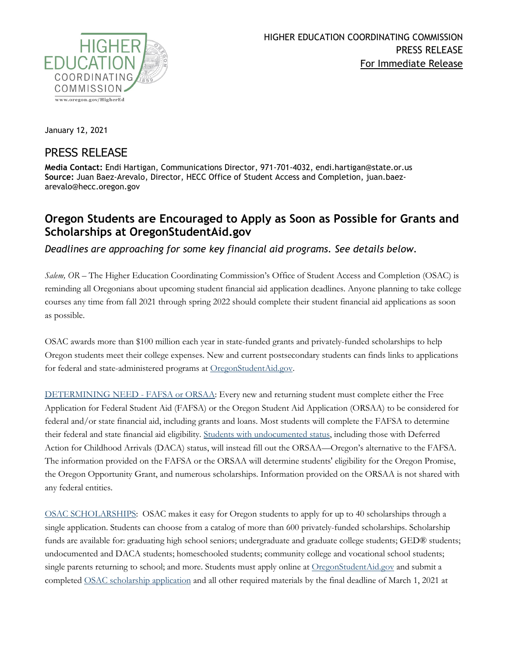

January 12, 2021

## PRESS RELEASE

**Media Contact:** Endi Hartigan, Communications Director, 971-701-4032, endi.hartigan@state.or.us **Source:** Juan Baez-Arevalo, Director, HECC Office of Student Access and Completion, juan.baezarevalo@hecc.oregon.gov

## **Oregon Students are Encouraged to Apply as Soon as Possible for Grants and Scholarships at OregonStudentAid.gov**

*Deadlines are approaching for some key financial aid programs. See details below.*

*Salem, OR –* The Higher Education Coordinating Commission's Office of Student Access and Completion (OSAC) is reminding all Oregonians about upcoming student financial aid application deadlines. Anyone planning to take college courses any time from fall 2021 through spring 2022 should complete their student financial aid applications as soon as possible.

OSAC awards more than \$100 million each year in state-funded grants and privately-funded scholarships to help Oregon students meet their college expenses. New and current postsecondary students can finds links to applications for federal and state-administered programs at [OregonStudentAid.gov.](http://oregonstudentaid.gov/)

[DETERMINING NEED -](https://oregonstudentaid.gov/fafsa-orsaa.aspx) FAFSA or ORSAA: Every new and returning student must complete either the Free Application for Federal Student Aid (FAFSA) or the Oregon Student Aid Application (ORSAA) to be considered for federal and/or state financial aid, including grants and loans. Most students will complete the FAFSA to determine their federal and state financial aid eligibility. [Students with undocumented status,](https://oregonstudentaid.gov/finaid-undocumented.aspx) including those with Deferred Action for Childhood Arrivals (DACA) status, will instead fill out the ORSAA—Oregon's alternative to the FAFSA. The information provided on the FAFSA or the ORSAA will determine students' eligibility for the Oregon Promise, the Oregon Opportunity Grant, and numerous scholarships. Information provided on the ORSAA is not shared with any federal entities.

[OSAC SCHOLARSHIPS:](https://oregonstudentaid.gov/scholarships.aspx) OSAC makes it easy for Oregon students to apply for up to 40 scholarships through a single application. Students can choose from a catalog of more than 600 privately-funded scholarships. Scholarship funds are available for: graduating high school seniors; undergraduate and graduate college students; GED® students; undocumented and DACA students; homeschooled students; community college and vocational school students; single parents returning to school; and more. Students must apply online at [OregonStudentAid.gov](http://oregonstudentaid.gov/) and submit a completed [OSAC scholarship application](http://www.oregonstudentaid.gov/scholarships.aspx) and all other required materials by the final deadline of March 1, 2021 at